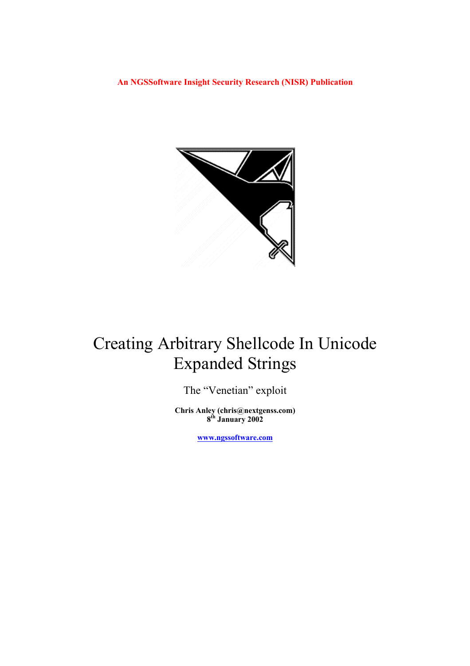**An NGSSoftware Insight Security Research (NISR) Publication** 



# Creating Arbitrary Shellcode In Unicode Expanded Strings

The "Venetian" exploit

**Chris Anley (chris@nextgenss.com) 8th January 2002** 

**[www.ngssoftware.com](http://www.ngssoftware.com/)**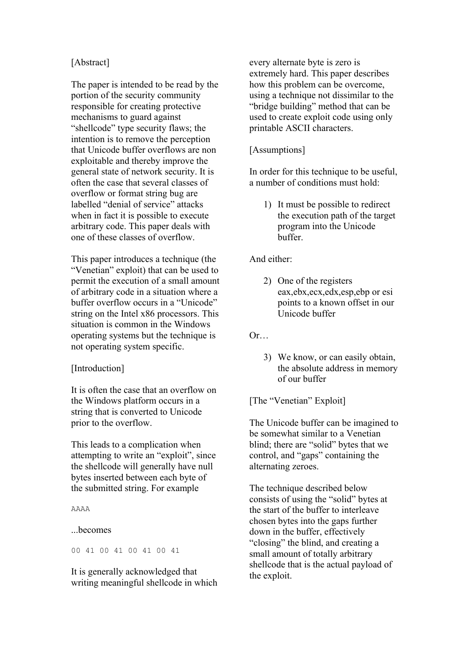## [Abstract]

The paper is intended to be read by the portion of the security community responsible for creating protective mechanisms to guard against "shellcode" type security flaws; the intention is to remove the perception that Unicode buffer overflows are non exploitable and thereby improve the general state of network security. It is often the case that several classes of overflow or format string bug are labelled "denial of service" attacks when in fact it is possible to execute arbitrary code. This paper deals with one of these classes of overflow.

This paper introduces a technique (the "Venetian" exploit) that can be used to permit the execution of a small amount of arbitrary code in a situation where a buffer overflow occurs in a "Unicode" string on the Intel x86 processors. This situation is common in the Windows operating systems but the technique is not operating system specific.

## [Introduction]

It is often the case that an overflow on the Windows platform occurs in a string that is converted to Unicode prior to the overflow.

This leads to a complication when attempting to write an "exploit", since the shellcode will generally have null bytes inserted between each byte of the submitted string. For example

AAAA

...becomes

00 41 00 41 00 41 00 41

It is generally acknowledged that writing meaningful shellcode in which every alternate byte is zero is extremely hard. This paper describes how this problem can be overcome, using a technique not dissimilar to the "bridge building" method that can be used to create exploit code using only printable ASCII characters.

#### [Assumptions]

In order for this technique to be useful, a number of conditions must hold:

1) It must be possible to redirect the execution path of the target program into the Unicode buffer.

## And either:

2) One of the registers eax,ebx,ecx,edx,esp,ebp or esi points to a known offset in our Unicode buffer

Or…

3) We know, or can easily obtain, the absolute address in memory of our buffer

[The "Venetian" Exploit]

The Unicode buffer can be imagined to be somewhat similar to a Venetian blind; there are "solid" bytes that we control, and "gaps" containing the alternating zeroes.

The technique described below consists of using the "solid" bytes at the start of the buffer to interleave chosen bytes into the gaps further down in the buffer, effectively "closing" the blind, and creating a small amount of totally arbitrary shellcode that is the actual payload of the exploit.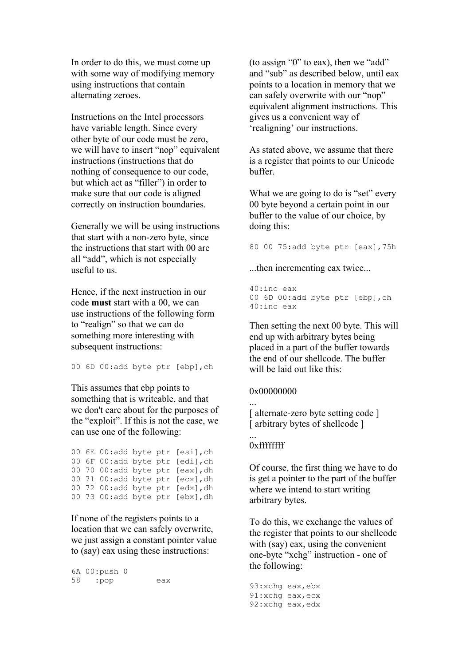In order to do this, we must come up with some way of modifying memory using instructions that contain alternating zeroes.

Instructions on the Intel processors have variable length. Since every other byte of our code must be zero, we will have to insert "nop" equivalent instructions (instructions that do nothing of consequence to our code, but which act as "filler") in order to make sure that our code is aligned correctly on instruction boundaries.

Generally we will be using instructions that start with a non-zero byte, since the instructions that start with 00 are all "add", which is not especially useful to us.

Hence, if the next instruction in our code **must** start with a 00, we can use instructions of the following form to "realign" so that we can do something more interesting with subsequent instructions:

00 6D 00:add byte ptr [ebp],ch

This assumes that ebp points to something that is writeable, and that we don't care about for the purposes of the "exploit". If this is not the case, we can use one of the following:

00 6E 00:add byte ptr [esi],ch 00 6F 00:add byte ptr [edi],ch 00 70 00:add byte ptr [eax],dh 00 71 00:add byte ptr [ecx],dh 00 72 00:add byte ptr [edx],dh 00 73 00:add byte ptr [ebx],dh

If none of the registers points to a location that we can safely overwrite, we just assign a constant pointer value to (say) eax using these instructions:

6A 00:push 0 58 :pop eax (to assign "0" to eax), then we "add" and "sub" as described below, until eax points to a location in memory that we can safely overwrite with our "nop" equivalent alignment instructions. This gives us a convenient way of 'realigning' our instructions.

As stated above, we assume that there is a register that points to our Unicode buffer.

What we are going to do is "set" every 00 byte beyond a certain point in our buffer to the value of our choice, by doing this:

80 00 75:add byte ptr [eax],75h

...then incrementing eax twice...

40:inc eax 00 6D 00:add byte ptr [ebp],ch 40:inc eax

Then setting the next 00 byte. This will end up with arbitrary bytes being placed in a part of the buffer towards the end of our shellcode. The buffer will be laid out like this:

#### 0x00000000

...

...

[ alternate-zero byte setting code ] [ arbitrary bytes of shellcode ]

#### 0xffffffff

Of course, the first thing we have to do is get a pointer to the part of the buffer where we intend to start writing arbitrary bytes.

To do this, we exchange the values of the register that points to our shellcode with (say) eax, using the convenient one-byte "xchg" instruction - one of the following:

```
93:xchg eax,ebx 
91:xchg eax,ecx 
92:xchg eax,edx
```